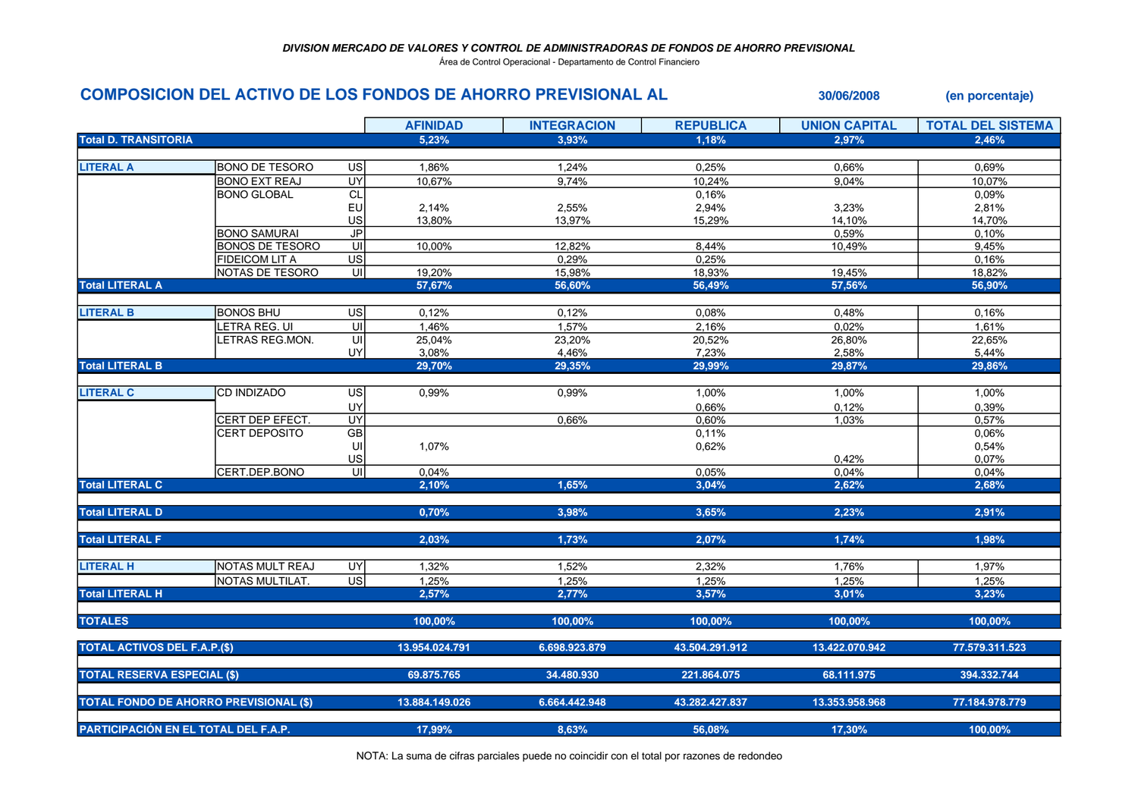Área de Control Operacional - Departamento de Control Financiero

## **COMPOSICION DEL ACTIVO DE LOS FONDOS DE AHORRO PREVISIONAL AL 30/06/2008 (en porcentaje)**

|                                               |                        |                         | <b>AFINIDAD</b> | <b>INTEGRACION</b> | <b>REPUBLICA</b> | <b>UNION CAPITAL</b> | <b>TOTAL DEL SISTEMA</b> |
|-----------------------------------------------|------------------------|-------------------------|-----------------|--------------------|------------------|----------------------|--------------------------|
| <b>Total D. TRANSITORIA</b>                   |                        |                         | 5,23%           | 3,93%              | 1,18%            | 2,97%                | 2,46%                    |
|                                               |                        |                         |                 |                    |                  |                      |                          |
| <b>LITERAL A</b>                              | <b>BONO DE TESORO</b>  | US                      | 1,86%           | 1,24%              | 0,25%            | 0,66%                | 0,69%                    |
|                                               | <b>BONO EXT REAJ</b>   | UY                      | 10,67%          | 9,74%              | 10,24%           | 9,04%                | 10,07%                   |
|                                               | <b>BONO GLOBAL</b>     | CL                      |                 |                    | 0,16%            |                      | 0,09%                    |
|                                               |                        | EU                      | 2,14%           | 2,55%              | 2,94%            | 3,23%                | 2,81%                    |
|                                               |                        | US                      | 13,80%          | 13,97%             | 15,29%           | 14,10%               | 14,70%                   |
|                                               | <b>BONO SAMURAI</b>    | JP                      |                 |                    |                  | 0,59%                | 0,10%                    |
|                                               | <b>BONOS DE TESORO</b> | $\overline{\mathsf{U}}$ | 10,00%          | 12,82%             | 8,44%            | 10,49%               | 9,45%                    |
|                                               | <b>FIDEICOM LIT A</b>  | US                      |                 | 0,29%              | 0,25%            |                      | 0,16%                    |
|                                               | NOTAS DE TESORO        | UI                      | 19,20%          | 15,98%             | 18,93%           | 19,45%               | 18,82%                   |
| <b>Total LITERAL A</b>                        |                        |                         | 57,67%          | 56,60%             | 56,49%           | 57,56%               | 56,90%                   |
| <b>LITERAL B</b>                              | <b>BONOS BHU</b>       | US                      | 0,12%           | 0,12%              | 0,08%            | 0,48%                | 0,16%                    |
|                                               | LETRA REG. UI          | $\overline{\mathsf{U}}$ | 1,46%           | 1,57%              | 2,16%            | 0,02%                | 1,61%                    |
|                                               | LETRAS REG.MON.        | UI                      | 25,04%          | 23,20%             | 20,52%           | 26,80%               | 22,65%                   |
|                                               |                        | UY                      | 3,08%           | 4,46%              | 7,23%            | 2,58%                | 5,44%                    |
| <b>Total LITERAL B</b>                        |                        |                         | 29,70%          | 29,35%             | 29,99%           | 29,87%               | 29,86%                   |
| <b>LITERAL C</b>                              | <b>CD INDIZADO</b>     | $\overline{US}$         | 0,99%           | 0,99%              | 1,00%            | 1,00%                | 1,00%                    |
|                                               |                        | UY                      |                 |                    | 0,66%            | 0,12%                | 0,39%                    |
|                                               | CERT DEP EFECT.        | <b>UY</b>               |                 | 0,66%              | 0,60%            | 1,03%                | 0,57%                    |
|                                               | CERT DEPOSITO          | GB                      |                 |                    | 0,11%            |                      | 0,06%                    |
|                                               |                        | UI                      | 1,07%           |                    | 0,62%            |                      | 0,54%                    |
|                                               |                        | US                      |                 |                    |                  | 0,42%                | 0,07%                    |
|                                               | CERT.DEP.BONO          | UI                      | 0,04%           |                    | 0,05%            | 0.04%                | 0,04%                    |
| <b>Total LITERAL C</b>                        |                        |                         | 2,10%           | 1,65%              | 3,04%            | 2,62%                | 2,68%                    |
| <b>Total LITERAL D</b>                        |                        |                         | 0,70%           | 3,98%              | 3,65%            | 2,23%                | 2,91%                    |
|                                               |                        |                         |                 |                    |                  |                      |                          |
| <b>Total LITERAL F</b>                        |                        |                         | 2,03%           | 1,73%              | 2,07%            | 1,74%                | 1,98%                    |
| <b>LITERAL H</b>                              | NOTAS MULT REAJ        | UY                      | 1,32%           | 1,52%              | 2,32%            | 1,76%                | 1,97%                    |
|                                               | NOTAS MULTILAT.        | $\overline{c}$          | 1,25%           | 1,25%              | 1,25%            | 1,25%                | 1,25%                    |
| <b>Total LITERAL H</b>                        |                        |                         | 2,57%           | 2,77%              | 3,57%            | 3,01%                | 3,23%                    |
| <b>TOTALES</b>                                |                        |                         | 100,00%         | 100,00%            | 100,00%          | 100,00%              | 100,00%                  |
|                                               |                        |                         |                 |                    |                  |                      |                          |
| <b>TOTAL ACTIVOS DEL F.A.P.(\$)</b>           |                        |                         | 13.954.024.791  | 6.698.923.879      | 43.504.291.912   | 13.422.070.942       | 77.579.311.523           |
| <b>TOTAL RESERVA ESPECIAL (\$)</b>            |                        | 69.875.765              | 34.480.930      | 221.864.075        | 68.111.975       | 394.332.744          |                          |
| <b>TOTAL FONDO DE AHORRO PREVISIONAL (\$)</b> |                        |                         | 13.884.149.026  | 6.664.442.948      | 43.282.427.837   | 13.353.958.968       | 77.184.978.779           |
| PARTICIPACIÓN EN EL TOTAL DEL F.A.P.          |                        |                         | 17,99%          | 8,63%              | 56,08%           | 17,30%               | 100,00%                  |

NOTA: La suma de cifras parciales puede no coincidir con el total por razones de redondeo